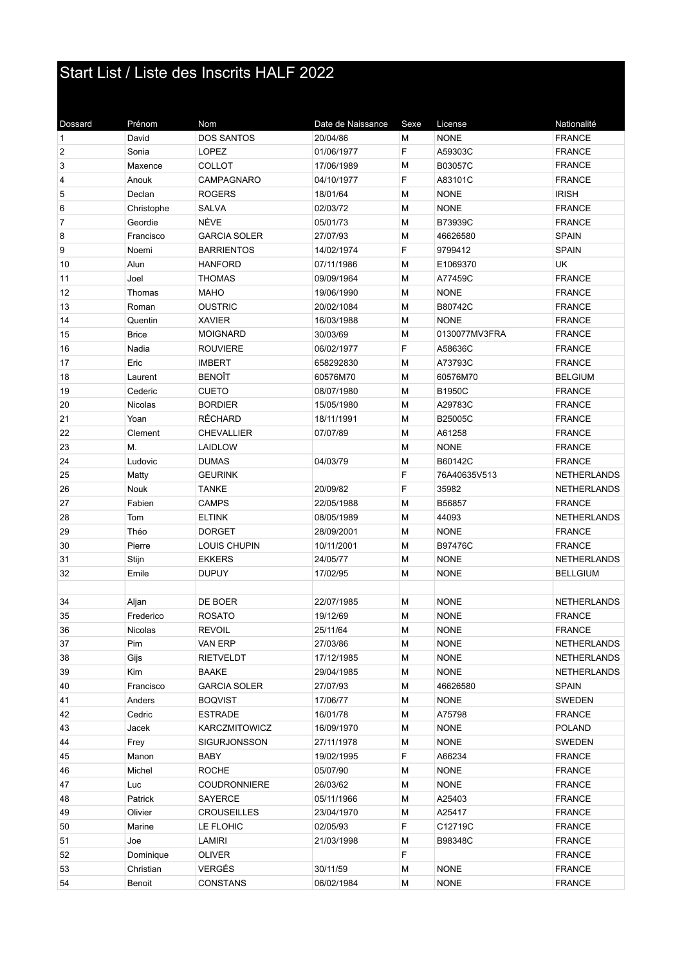## Start List / Liste des Inscrits HALF 2022

| Dossard        | Prénom       | Nom                  | Date de Naissance | Sexe | License       | Nationalité        |
|----------------|--------------|----------------------|-------------------|------|---------------|--------------------|
| $\mathbf{1}$   | David        | <b>DOS SANTOS</b>    | 20/04/86          | М    | <b>NONE</b>   | <b>FRANCE</b>      |
| $\overline{2}$ | Sonia        | <b>LOPEZ</b>         | 01/06/1977        | F    | A59303C       | <b>FRANCE</b>      |
| 3              | Maxence      | <b>COLLOT</b>        | 17/06/1989        | М    | B03057C       | <b>FRANCE</b>      |
| 4              | Anouk        | CAMPAGNARO           | 04/10/1977        | F    | A83101C       | <b>FRANCE</b>      |
| 5              | Declan       | <b>ROGERS</b>        | 18/01/64          | М    | <b>NONE</b>   | <b>IRISH</b>       |
| 6              | Christophe   | <b>SALVA</b>         | 02/03/72          | M    | <b>NONE</b>   | <b>FRANCE</b>      |
| $\overline{7}$ | Geordie      | NÈVE                 | 05/01/73          | M    | B73939C       | <b>FRANCE</b>      |
| 8              | Francisco    | <b>GARCIA SOLER</b>  | 27/07/93          | М    | 46626580      | <b>SPAIN</b>       |
| 9              | Noemi        | <b>BARRIENTOS</b>    | 14/02/1974        | F    | 9799412       | <b>SPAIN</b>       |
| 10             | Alun         | <b>HANFORD</b>       | 07/11/1986        | M    | E1069370      | UK                 |
| 11             | Joel         | <b>THOMAS</b>        | 09/09/1964        | М    | A77459C       | <b>FRANCE</b>      |
| 12             | Thomas       | <b>MAHO</b>          | 19/06/1990        | М    | <b>NONE</b>   | <b>FRANCE</b>      |
| 13             | Roman        | <b>OUSTRIC</b>       | 20/02/1084        | М    | B80742C       | <b>FRANCE</b>      |
| 14             | Quentin      | <b>XAVIER</b>        | 16/03/1988        | М    | <b>NONE</b>   | <b>FRANCE</b>      |
| 15             | <b>Brice</b> | <b>MOIGNARD</b>      | 30/03/69          | М    | 0130077MV3FRA | <b>FRANCE</b>      |
| 16             | Nadia        | <b>ROUVIERE</b>      | 06/02/1977        | F    | A58636C       | <b>FRANCE</b>      |
| 17             | Eric         | <b>IMBERT</b>        | 658292830         | M    | A73793C       | <b>FRANCE</b>      |
| 18             | Laurent      | <b>BENOÎT</b>        | 60576M70          | M    | 60576M70      | <b>BELGIUM</b>     |
| 19             | Cederic      | <b>CUETO</b>         | 08/07/1980        | M    | <b>B1950C</b> | <b>FRANCE</b>      |
| 20             | Nicolas      | <b>BORDIER</b>       | 15/05/1980        | М    | A29783C       | <b>FRANCE</b>      |
| 21             | Yoan         | <b>RÉCHARD</b>       | 18/11/1991        | М    | B25005C       | <b>FRANCE</b>      |
| 22             | Clement      | <b>CHEVALLIER</b>    | 07/07/89          | М    | A61258        | <b>FRANCE</b>      |
| 23             | М.           | LAIDLOW              |                   | M    | <b>NONE</b>   | <b>FRANCE</b>      |
| 24             | Ludovic      | <b>DUMAS</b>         | 04/03/79          | М    | B60142C       | <b>FRANCE</b>      |
| 25             | Matty        | <b>GEURINK</b>       |                   | F    | 76A40635V513  | <b>NETHERLANDS</b> |
| 26             | Nouk         | <b>TANKE</b>         | 20/09/82          | F    | 35982         | <b>NETHERLANDS</b> |
| 27             | Fabien       | <b>CAMPS</b>         | 22/05/1988        | M    | B56857        | <b>FRANCE</b>      |
| 28             | Tom          | <b>ELTINK</b>        | 08/05/1989        | M    | 44093         | <b>NETHERLANDS</b> |
| 29             | Théo         | <b>DORGET</b>        | 28/09/2001        | M    | <b>NONE</b>   | <b>FRANCE</b>      |
| 30             | Pierre       | LOUIS CHUPIN         | 10/11/2001        | M    | B97476C       | <b>FRANCE</b>      |
| 31             | Stijn        | <b>EKKERS</b>        | 24/05/77          | М    | <b>NONE</b>   | <b>NETHERLANDS</b> |
| 32             | Emile        | <b>DUPUY</b>         | 17/02/95          | М    | <b>NONE</b>   | <b>BELLGIUM</b>    |
|                |              |                      |                   |      |               |                    |
| 34             | Aljan        | DE BOER              | 22/07/1985        | М    | <b>NONE</b>   | <b>NETHERLANDS</b> |
| 35             | Frederico    | <b>ROSATO</b>        | 19/12/69          | М    | <b>NONE</b>   | <b>FRANCE</b>      |
| 36             | Nicolas      | REVOIL               | 25/11/64          | М    | <b>NONE</b>   | <b>FRANCE</b>      |
| 37             | Pim          | VAN ERP              | 27/03/86          | М    | <b>NONE</b>   | NETHERLANDS        |
| 38             | Gijs         | <b>RIETVELDT</b>     | 17/12/1985        | М    | <b>NONE</b>   | NETHERLANDS        |
| 39             | Kim          | <b>BAAKE</b>         | 29/04/1985        | М    | <b>NONE</b>   | NETHERLANDS        |
| 40             | Francisco    | <b>GARCIA SOLER</b>  | 27/07/93          | M    | 46626580      | <b>SPAIN</b>       |
| 41             | Anders       | <b>BOQVIST</b>       | 17/06/77          | M    | <b>NONE</b>   | SWEDEN             |
| 42             | Cedric       | <b>ESTRADE</b>       | 16/01/78          | М    | A75798        | <b>FRANCE</b>      |
| 43             | Jacek        | <b>KARCZMITOWICZ</b> | 16/09/1970        | M    | <b>NONE</b>   | <b>POLAND</b>      |
| 44             | Frey         | <b>SIGURJONSSON</b>  | 27/11/1978        | M    | <b>NONE</b>   | SWEDEN             |
| 45             | Manon        | <b>BABY</b>          | 19/02/1995        | F    | A66234        | <b>FRANCE</b>      |
| 46             | Michel       | <b>ROCHE</b>         | 05/07/90          | M    | <b>NONE</b>   | <b>FRANCE</b>      |
| 47             | Luc          | <b>COUDRONNIERE</b>  | 26/03/62          | М    | <b>NONE</b>   | <b>FRANCE</b>      |
| 48             | Patrick      | SAYERCE              | 05/11/1966        | М    | A25403        | <b>FRANCE</b>      |
| 49             | Olivier      | <b>CROUSEILLES</b>   | 23/04/1970        | М    | A25417        | <b>FRANCE</b>      |
| 50             | Marine       | LE FLOHIC            | 02/05/93          | F    | C12719C       | <b>FRANCE</b>      |
| 51             | Joe          | LAMIRI               | 21/03/1998        | М    | B98348C       | <b>FRANCE</b>      |
| 52             | Dominique    | <b>OLIVER</b>        |                   | F    |               | <b>FRANCE</b>      |
| 53             | Christian    | <b>VERGÉS</b>        | 30/11/59          | М    | <b>NONE</b>   | <b>FRANCE</b>      |
| 54             | Benoit       | CONSTANS             | 06/02/1984        | M    | <b>NONE</b>   | <b>FRANCE</b>      |